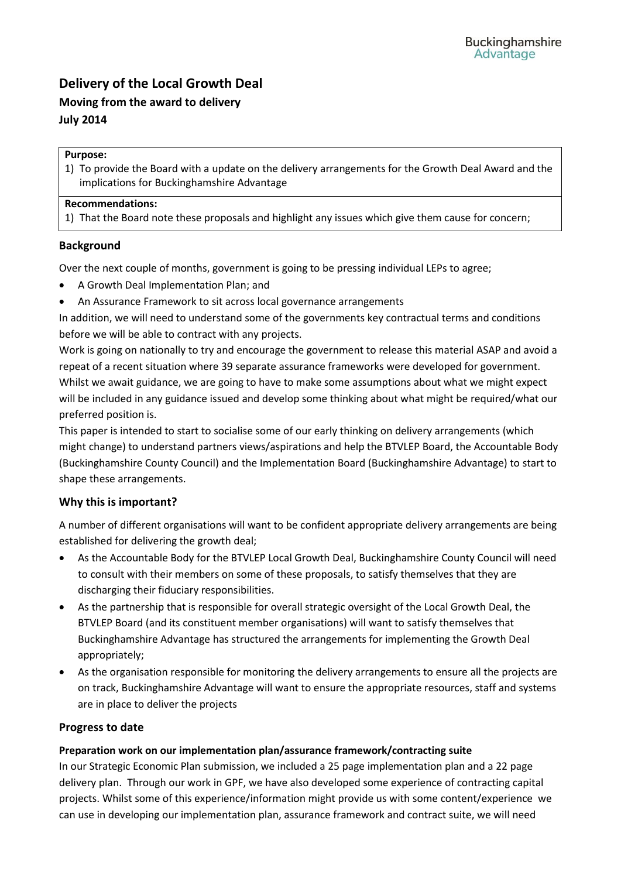# **Delivery of the Local Growth Deal**

# **Moving from the award to delivery July 2014**

#### **Purpose:**

1) To provide the Board with a update on the delivery arrangements for the Growth Deal Award and the implications for Buckinghamshire Advantage

#### **Recommendations:**

1) That the Board note these proposals and highlight any issues which give them cause for concern;

## **Background**

Over the next couple of months, government is going to be pressing individual LEPs to agree;

- A Growth Deal Implementation Plan; and
- An Assurance Framework to sit across local governance arrangements

In addition, we will need to understand some of the governments key contractual terms and conditions before we will be able to contract with any projects.

Work is going on nationally to try and encourage the government to release this material ASAP and avoid a repeat of a recent situation where 39 separate assurance frameworks were developed for government. Whilst we await guidance, we are going to have to make some assumptions about what we might expect will be included in any guidance issued and develop some thinking about what might be required/what our preferred position is.

This paper is intended to start to socialise some of our early thinking on delivery arrangements (which might change) to understand partners views/aspirations and help the BTVLEP Board, the Accountable Body (Buckinghamshire County Council) and the Implementation Board (Buckinghamshire Advantage) to start to shape these arrangements.

# **Why this is important?**

A number of different organisations will want to be confident appropriate delivery arrangements are being established for delivering the growth deal;

- As the Accountable Body for the BTVLEP Local Growth Deal, Buckinghamshire County Council will need to consult with their members on some of these proposals, to satisfy themselves that they are discharging their fiduciary responsibilities.
- As the partnership that is responsible for overall strategic oversight of the Local Growth Deal, the BTVLEP Board (and its constituent member organisations) will want to satisfy themselves that Buckinghamshire Advantage has structured the arrangements for implementing the Growth Deal appropriately;
- As the organisation responsible for monitoring the delivery arrangements to ensure all the projects are on track, Buckinghamshire Advantage will want to ensure the appropriate resources, staff and systems are in place to deliver the projects

## **Progress to date**

## **Preparation work on our implementation plan/assurance framework/contracting suite**

In our Strategic Economic Plan submission, we included a 25 page implementation plan and a 22 page delivery plan. Through our work in GPF, we have also developed some experience of contracting capital projects. Whilst some of this experience/information might provide us with some content/experience we can use in developing our implementation plan, assurance framework and contract suite, we will need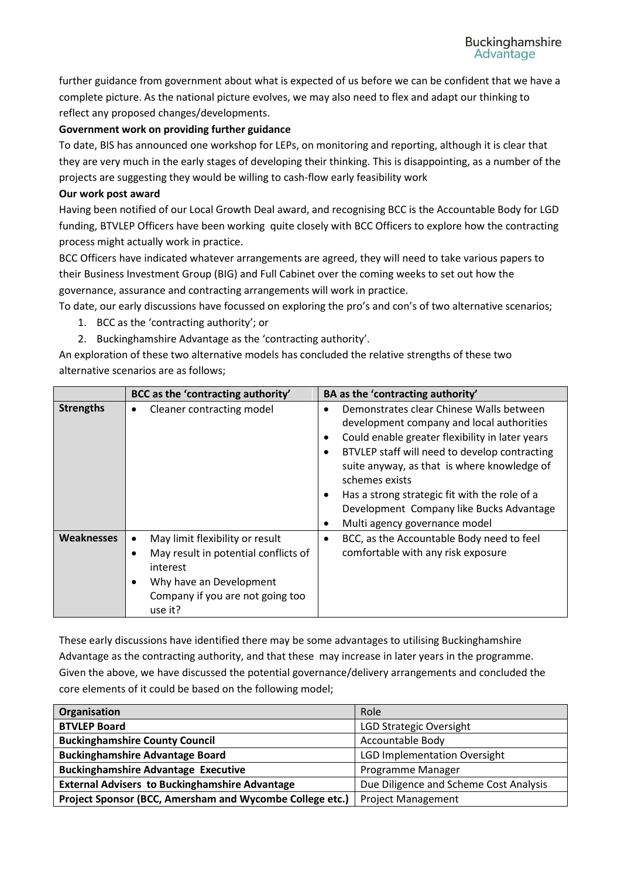further guidance from government about what is expected of us before we can be confident that we have a complete picture. As the national picture evolves, we may also need to flex and adapt our thinking to reflect any proposed changes/developments.

## **Government work on providing further guidance**

To date, BIS has announced one workshop for LEPs, on monitoring and reporting, although it is clear that they are very much in the early stages of developing their thinking. This is disappointing, as a number of the projects are suggesting they would be willing to cash-flow early feasibility work

#### **Our work post award**

Having been notified of our Local Growth Deal award, and recognising BCC is the Accountable Body for LGD funding, BTVLEP Officers have been working quite closely with BCC Officers to explore how the contracting process might actually work in practice.

BCC Officers have indicated whatever arrangements are agreed, they will need to take various papers to their Business Investment Group (BIG) and Full Cabinet over the coming weeks to set out how the governance, assurance and contracting arrangements will work in practice.

To date, our early discussions have focussed on exploring the pro's and con's of two alternative scenarios;

- 1. BCC as the 'contracting authority'; or
- 2. Buckinghamshire Advantage as the 'contracting authority'.

An exploration of these two alternative models has concluded the relative strengths of these two alternative scenarios are as follows;

|                   | BCC as the 'contracting authority'                                                                                                                                           | BA as the 'contracting authority'                                                                                                                                                                                                                                                                                                                                                                                                                         |
|-------------------|------------------------------------------------------------------------------------------------------------------------------------------------------------------------------|-----------------------------------------------------------------------------------------------------------------------------------------------------------------------------------------------------------------------------------------------------------------------------------------------------------------------------------------------------------------------------------------------------------------------------------------------------------|
| <b>Strengths</b>  | Cleaner contracting model<br>٠                                                                                                                                               | Demonstrates clear Chinese Walls between<br>$\bullet$<br>development company and local authorities<br>Could enable greater flexibility in later years<br>$\bullet$<br>BTVLEP staff will need to develop contracting<br>$\bullet$<br>suite anyway, as that is where knowledge of<br>schemes exists<br>Has a strong strategic fit with the role of a<br>$\bullet$<br>Development Company like Bucks Advantage<br>Multi agency governance model<br>$\bullet$ |
| <b>Weaknesses</b> | May limit flexibility or result<br>٠<br>May result in potential conflicts of<br>٠<br>interest<br>Why have an Development<br>٠<br>Company if you are not going too<br>use it? | BCC, as the Accountable Body need to feel<br>$\bullet$<br>comfortable with any risk exposure                                                                                                                                                                                                                                                                                                                                                              |

These early discussions have identified there may be some advantages to utilising Buckinghamshire Advantage as the contracting authority, and that these may increase in later years in the programme. Given the above, we have discussed the potential governance/delivery arrangements and concluded the core elements of it could be based on the following model;

| Organisation                                             | Role                                   |
|----------------------------------------------------------|----------------------------------------|
| <b>BTVLEP Board</b>                                      | LGD Strategic Oversight                |
| <b>Buckinghamshire County Council</b>                    | <b>Accountable Body</b>                |
| <b>Buckinghamshire Advantage Board</b>                   | <b>LGD Implementation Oversight</b>    |
| <b>Buckinghamshire Advantage Executive</b>               | Programme Manager                      |
| <b>External Advisers to Buckinghamshire Advantage</b>    | Due Diligence and Scheme Cost Analysis |
| Project Sponsor (BCC, Amersham and Wycombe College etc.) | <b>Project Management</b>              |